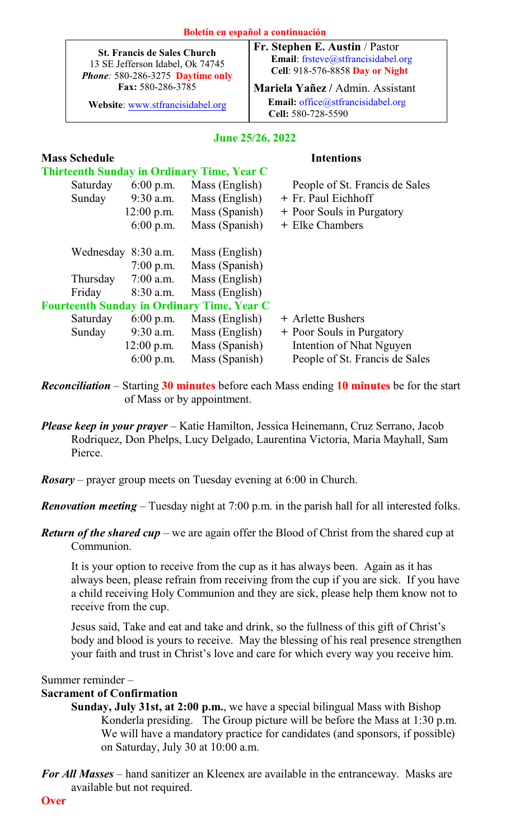| <b>St. Francis de Sales Church</b><br>13 SE Jefferson Idabel, Ok 74745<br>Phone: 580-286-3275 Daytime only<br>Fax: 580-286-3785<br>Website: www.stfrancisidabel.org |              |                  | гт, экериен е. Аймин / тамог<br>Email: frsteve@stfrancisidabel.org<br>Cell: 918-576-8858 Day or Night<br>Mariela Yañez / Admin. Assistant<br>Email: office@stfrancisidabel.org<br>Cell: 580-728-5590 |                                |  |  |  |  |
|---------------------------------------------------------------------------------------------------------------------------------------------------------------------|--------------|------------------|------------------------------------------------------------------------------------------------------------------------------------------------------------------------------------------------------|--------------------------------|--|--|--|--|
|                                                                                                                                                                     |              | June 25/26, 2022 |                                                                                                                                                                                                      |                                |  |  |  |  |
| <b>Mass Schedule</b>                                                                                                                                                |              |                  |                                                                                                                                                                                                      | <b>Intentions</b>              |  |  |  |  |
| <b>Thirteenth Sunday in Ordinary Time, Year C</b>                                                                                                                   |              |                  |                                                                                                                                                                                                      |                                |  |  |  |  |
| Saturday                                                                                                                                                            | $6:00$ p.m.  | Mass (English)   |                                                                                                                                                                                                      | People of St. Francis de Sales |  |  |  |  |
| Sunday                                                                                                                                                              | $9:30$ a.m.  | Mass (English)   |                                                                                                                                                                                                      | + Fr. Paul Eichhoff            |  |  |  |  |
|                                                                                                                                                                     | $12:00$ p.m. | Mass (Spanish)   |                                                                                                                                                                                                      | + Poor Souls in Purgatory      |  |  |  |  |
|                                                                                                                                                                     | $6:00$ p.m.  | Mass (Spanish)   |                                                                                                                                                                                                      | + Elke Chambers                |  |  |  |  |
| Wednesday 8:30 a.m.                                                                                                                                                 |              | Mass (English)   |                                                                                                                                                                                                      |                                |  |  |  |  |
|                                                                                                                                                                     | $7:00$ p.m.  | Mass (Spanish)   |                                                                                                                                                                                                      |                                |  |  |  |  |
| Thursday                                                                                                                                                            | $7:00$ a.m.  | Mass (English)   |                                                                                                                                                                                                      |                                |  |  |  |  |
| Friday                                                                                                                                                              | 8:30 a.m.    | Mass (English)   |                                                                                                                                                                                                      |                                |  |  |  |  |
| <b>Fourteenth Sunday in Ordinary Time, Year C</b>                                                                                                                   |              |                  |                                                                                                                                                                                                      |                                |  |  |  |  |
| Saturday                                                                                                                                                            | $6:00$ p.m.  | Mass (English)   |                                                                                                                                                                                                      | + Arlette Bushers              |  |  |  |  |
| Sunday                                                                                                                                                              | 9:30 a.m.    | Mass (English)   |                                                                                                                                                                                                      | + Poor Souls in Purgatory      |  |  |  |  |
|                                                                                                                                                                     | $12:00$ p.m. | Mass (Spanish)   |                                                                                                                                                                                                      | Intention of Nhat Nguyen       |  |  |  |  |
|                                                                                                                                                                     | 6:00 p.m.    | Mass (Spanish)   |                                                                                                                                                                                                      | People of St. Francis de Sales |  |  |  |  |
|                                                                                                                                                                     |              |                  |                                                                                                                                                                                                      |                                |  |  |  |  |

*Reconciliation* – Starting **30 minutes** before each Mass ending **10 minutes** be for the start of Mass or by appointment.

*Please keep in your prayer* – Katie Hamilton, Jessica Heinemann, Cruz Serrano, Jacob Rodriquez, Don Phelps, Lucy Delgado, Laurentina Victoria, Maria Mayhall, Sam Pierce.

*Rosary* – prayer group meets on Tuesday evening at 6:00 in Church.

*Renovation meeting* – Tuesday night at 7:00 p.m. in the parish hall for all interested folks.

*Return of the shared cup* – we are again offer the Blood of Christ from the shared cup at Communion.

It is your option to receive from the cup as it has always been. Again as it has always been, please refrain from receiving from the cup if you are sick. If you have a child receiving Holy Communion and they are sick, please help them know not to receive from the cup.

Jesus said, Take and eat and take and drink, so the fullness of this gift of Christ's body and blood is yours to receive. May the blessing of his real presence strengthen your faith and trust in Christ's love and care for which every way you receive him.

#### Summer reminder –

Г

### **Sacrament of Confirmation**

- **Sunday, July 31st, at 2:00 p.m.**, we have a special bilingual Mass with Bishop Konderla presiding. The Group picture will be before the Mass at 1:30 p.m. We will have a mandatory practice for candidates (and sponsors, if possible) on Saturday, July 30 at 10:00 a.m.
- *For All Masses* hand sanitizer an Kleenex are available in the entranceway. Masks are available but not required.

**Fr. Stephen E. Austin** / Pastor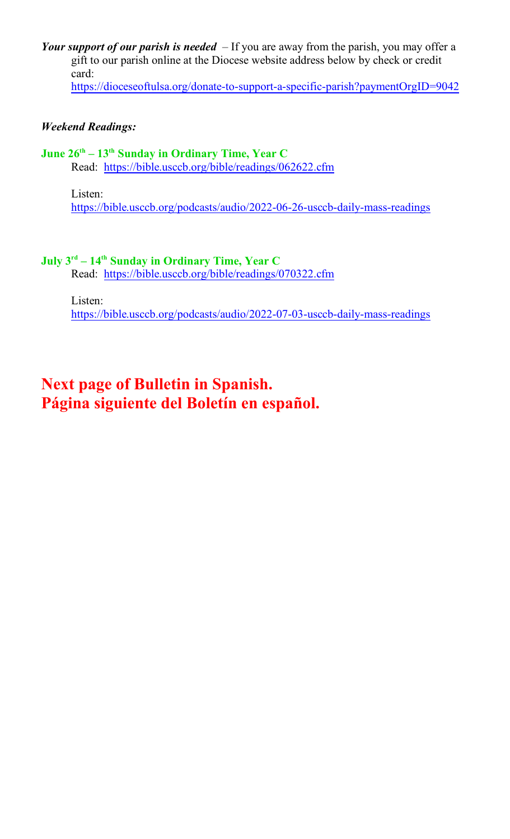*Your support of our parish is needed* – If you are away from the parish, you may offer a gift to our parish online at the Diocese website address below by check or credit card:

https://dioceseoftulsa.org/donate-to-support-a-specific-parish?paymentOrgID=9042

## *Weekend Readings:*

## **June 26th – 13th Sunday in Ordinary Time, Year C**

Read: <https://bible.usccb.org/bible/readings/062622.cfm>

Listen:

https://bible.usccb.org/podcasts/audio/2022-06-26-usccb-daily-mass-readings

## **July 3 rd – 14th Sunday in Ordinary Time, Year C**

Read: <https://bible.usccb.org/bible/readings/070322.cfm>

Listen:

https://bible.usccb.org/podcasts/audio/2022-07-03-usccb-daily-mass-readings

# **Next page of Bulletin in Spanish. Página siguiente del Boletín en español.**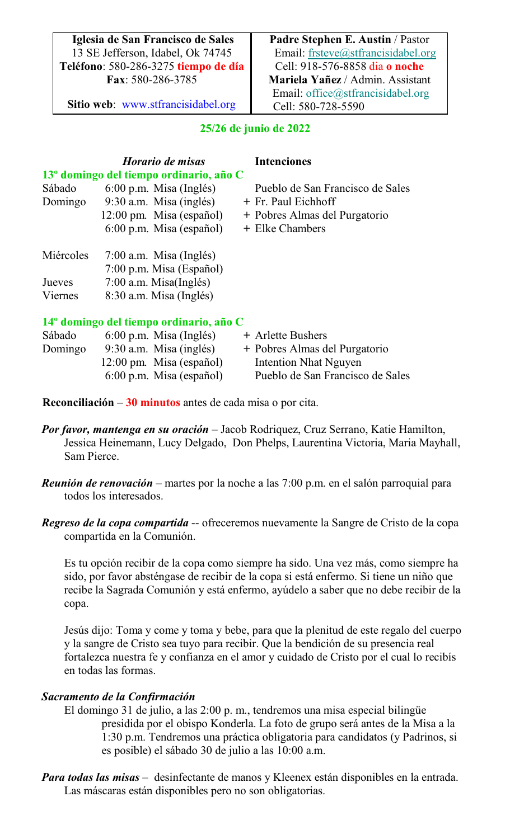**Iglesia de San Francisco de Sales** 13 SE Jefferson, Idabel, Ok 74745 **Teléfono**: 580-286-3275 **tiempo de día Fax**: 580-286-3785

**Sitio web**: [www.stfrancisidabel.org](http://about:blank)

**Padre Stephen E. Austin** / Pastor Email: [frsteve@stfrancisidabel.org](http://about:blank) Cell: 918-576-8858 dia **o noche Mariela Yañez** / Admin. Assistant Email: [office@stfrancisidabel.org](http://about:blank) Cell: 580-728-5590

# **25/26 de junio de 2022**

|           | Horario de misas                                    | <b>Intenciones</b>               |
|-----------|-----------------------------------------------------|----------------------------------|
|           | 13 <sup>°</sup> domingo del tiempo ordinario, año C |                                  |
| Sábado    | $6:00$ p.m. Misa (Inglés)                           | Pueblo de San Francisco de Sales |
| Domingo   | $9:30$ a.m. Misa (inglés)                           | + Fr. Paul Eichhoff              |
|           | 12:00 pm. Misa (español)                            | + Pobres Almas del Purgatorio    |
|           | $6:00$ p.m. Misa (español)                          | + Elke Chambers                  |
| Miércoles | $7:00$ a.m. Misa (Inglés)                           |                                  |
|           | $7:00$ p.m. Misa (Español)                          |                                  |
| Jueves    | $7:00$ a.m. Misa(Inglés)                            |                                  |
| Viernes   | $8:30$ a.m. Misa (Inglés)                           |                                  |
|           | 14 <sup>°</sup> domingo del tiempo ordinario, año C |                                  |
|           |                                                     |                                  |

| Sábado  | $6:00$ p.m. Misa (Inglés)  | + Arlette Bushers                |
|---------|----------------------------|----------------------------------|
| Domingo | $9:30$ a.m. Misa (inglés)  | + Pobres Almas del Purgatorio    |
|         | $12:00$ pm. Misa (español) | Intention Nhat Nguyen            |
|         | $6:00$ p.m. Misa (español) | Pueblo de San Francisco de Sales |

**Reconciliación** – **30 minutos** antes de cada misa o por cita.

- *Por favor, mantenga en su oración* Jacob Rodriquez, Cruz Serrano, Katie Hamilton, Jessica Heinemann, Lucy Delgado, Don Phelps, Laurentina Victoria, Maria Mayhall, Sam Pierce.
- *Reunión de renovación* martes por la noche a las 7:00 p.m. en el salón parroquial para todos los interesados.
- *Regreso de la copa compartida* -- ofreceremos nuevamente la Sangre de Cristo de la copa compartida en la Comunión.

Es tu opción recibir de la copa como siempre ha sido. Una vez más, como siempre ha sido, por favor absténgase de recibir de la copa si está enfermo. Si tiene un niño que recibe la Sagrada Comunión y está enfermo, ayúdelo a saber que no debe recibir de la copa.

Jesús dijo: Toma y come y toma y bebe, para que la plenitud de este regalo del cuerpo y la sangre de Cristo sea tuyo para recibir. Que la bendición de su presencia real fortalezca nuestra fe y confianza en el amor y cuidado de Cristo por el cual lo recibís en todas las formas.

## *Sacramento de la Confirmación*

- El domingo 31 de julio, a las 2:00 p. m., tendremos una misa especial bilingüe presidida por el obispo Konderla. La foto de grupo será antes de la Misa a la 1:30 p.m. Tendremos una práctica obligatoria para candidatos (y Padrinos, si es posible) el sábado 30 de julio a las 10:00 a.m.
- *Para todas las misas* desinfectante de manos y Kleenex están disponibles en la entrada. Las máscaras están disponibles pero no son obligatorias.